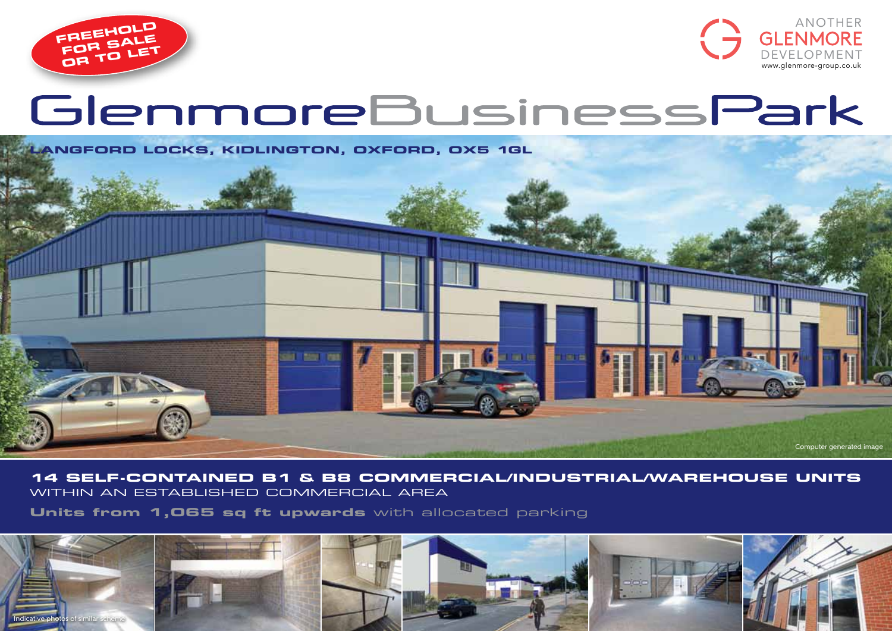



# GlenmoreBusinessPark



## **14 self-contained B1 & B8 commercial/industrial/warehouse units** within aN ESTABLISHED COMMERCIAL AREA

**Units from 1,065 sq ft upwards** with allocated parking